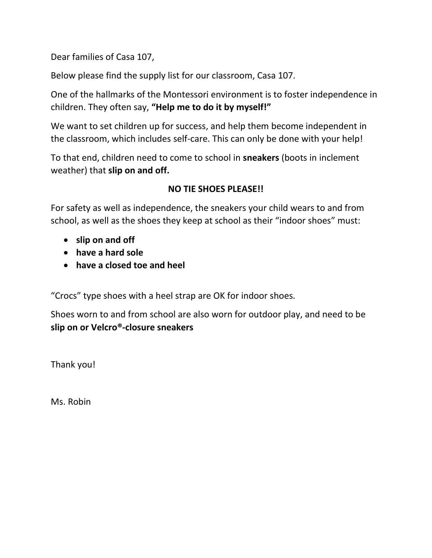Dear families of Casa 107,

Below please find the supply list for our classroom, Casa 107.

One of the hallmarks of the Montessori environment is to foster independence in children. They often say, **"Help me to do it by myself!"**

We want to set children up for success, and help them become independent in the classroom, which includes self-care. This can only be done with your help!

To that end, children need to come to school in **sneakers** (boots in inclement weather) that **slip on and off.**

## **NO TIE SHOES PLEASE!!**

For safety as well as independence, the sneakers your child wears to and from school, as well as the shoes they keep at school as their "indoor shoes" must:

- **slip on and off**
- **have a hard sole**
- **have a closed toe and heel**

"Crocs" type shoes with a heel strap are OK for indoor shoes.

Shoes worn to and from school are also worn for outdoor play, and need to be **slip on or Velcro®-closure sneakers**

Thank you!

Ms. Robin